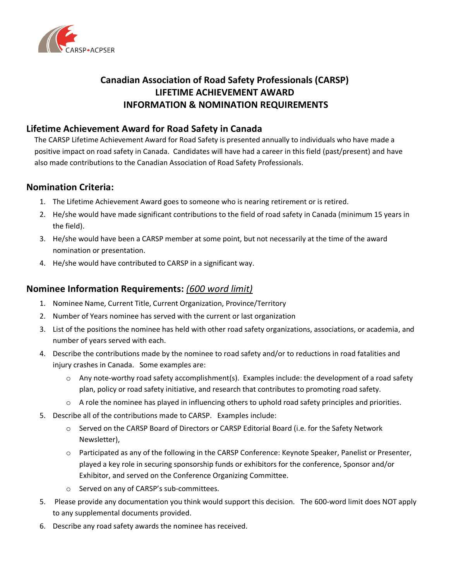

# **Canadian Association of Road Safety Professionals (CARSP) LIFETIME ACHIEVEMENT AWARD INFORMATION & NOMINATION REQUIREMENTS**

### **Lifetime Achievement Award for Road Safety in Canada**

The CARSP Lifetime Achievement Award for Road Safety is presented annually to individuals who have made a positive impact on road safety in Canada. Candidates will have had a career in this field (past/present) and have also made contributions to the Canadian Association of Road Safety Professionals.

#### **Nomination Criteria:**

- 1. The Lifetime Achievement Award goes to someone who is nearing retirement or is retired.
- 2. He/she would have made significant contributions to the field of road safety in Canada (minimum 15 years in the field).
- 3. He/she would have been a CARSP member at some point, but not necessarily at the time of the award nomination or presentation.
- 4. He/she would have contributed to CARSP in a significant way.

## **Nominee Information Requirements:** *(600 word limit)*

- 1. Nominee Name, Current Title, Current Organization, Province/Territory
- 2. Number of Years nominee has served with the current or last organization
- 3. List of the positions the nominee has held with other road safety organizations, associations, or academia, and number of years served with each.
- 4. Describe the contributions made by the nominee to road safety and/or to reductions in road fatalities and injury crashes in Canada. Some examples are:
	- $\circ$  Any note-worthy road safety accomplishment(s). Examples include: the development of a road safety plan, policy or road safety initiative, and research that contributes to promoting road safety.
	- $\circ$  A role the nominee has played in influencing others to uphold road safety principles and priorities.
- 5. Describe all of the contributions made to CARSP. Examples include:
	- o Served on the CARSP Board of Directors or CARSP Editorial Board (i.e. for the Safety Network Newsletter),
	- o Participated as any of the following in the CARSP Conference: Keynote Speaker, Panelist or Presenter, played a key role in securing sponsorship funds or exhibitors for the conference, Sponsor and/or Exhibitor, and served on the Conference Organizing Committee.
	- o Served on any of CARSP's sub-committees.
- 5. Please provide any documentation you think would support this decision. The 600-word limit does NOT apply to any supplemental documents provided.
- 6. Describe any road safety awards the nominee has received.